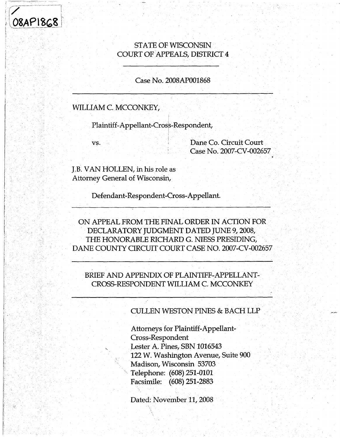# **/ 0SAPISG8** *!■*

*i* **I; !;**

**t**

# STATE OF WISCONSIN COURT OF APPEALS, DISTRICT 4

#### Case No. 2008AP001868

# WILLIAM C. MCCONKEY,

Plaintiff-Appellant-Cross-Respondent,

vs.

Dane Co. Circuit Court Case No. 2007-CV-002657

J.B. VAN HOLLEN, in his role as Attorney General of Wisconsin,

Defendant-Respondent-Cross-Appellant.

ON APPEAL FROM THE FINAL ORDER IN ACTION FOR DECLARATORY JUDGMENT DATED JUNE 9,2008, THE HONORABLE RICHARD G. NIESS PRESIDING, DANE COUNTY CIRCUIT COURT CASE NO. 2007-CV-002657

BRIEF AND APPENDIX OF PLAINTIFF-APPELLANT-CROSS-RESPONDENT WILLIAM C. MCCONKEY

CULLEN WESTON PINES & BACH LLP

Attorneys for Plaintiff-Appellant-Cross-Respondent Lester A. Pines, SBN 1016543 122 W. Washington Avenue, Suite 900 Madison, Wisconsin 53703 Telephone: (608) 251-0101 Facsimile: (608)251-2883

Dated: November 11, 2008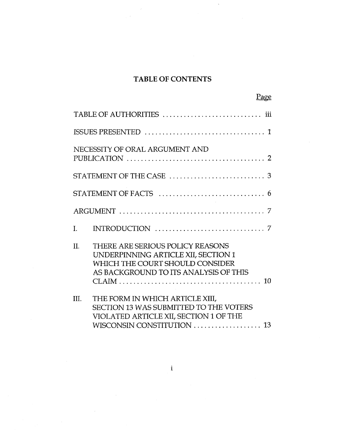# **TABLE OF CONTENTS**

|                                | <u>Page</u>                                                                                                                                             |  |  |  |  |
|--------------------------------|---------------------------------------------------------------------------------------------------------------------------------------------------------|--|--|--|--|
|                                |                                                                                                                                                         |  |  |  |  |
|                                |                                                                                                                                                         |  |  |  |  |
| NECESSITY OF ORAL ARGUMENT AND |                                                                                                                                                         |  |  |  |  |
|                                |                                                                                                                                                         |  |  |  |  |
| STATEMENT OF FACTS<br>6        |                                                                                                                                                         |  |  |  |  |
|                                |                                                                                                                                                         |  |  |  |  |
| L.                             | INTRODUCTION<br>7                                                                                                                                       |  |  |  |  |
| $\Pi$ .                        | THERE ARE SERIOUS POLICY REASONS<br>UNDERPINNING ARTICLE XII, SECTION 1<br>WHICH THE COURT SHOULD CONSIDER<br>AS BACKGROUND TO ITS ANALYSIS OF THIS     |  |  |  |  |
| $\Pi$ .                        | THE FORM IN WHICH ARTICLE XIII,<br><b>SECTION 13 WAS SUBMITTED TO THE VOTERS</b><br>VIOLATED ARTICLE XII, SECTION 1 OF THE<br>WISCONSIN CONSTITUTION 13 |  |  |  |  |

**i**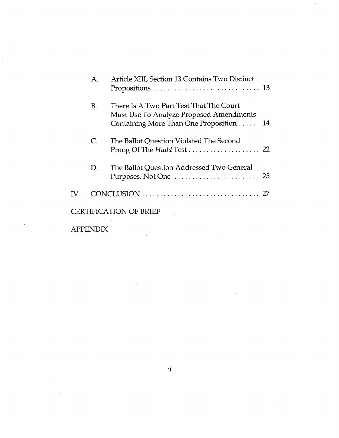|               | А.              | Article XIII, Section 13 Contains Two Distinct                                                                                |
|---------------|-----------------|-------------------------------------------------------------------------------------------------------------------------------|
|               | <b>B.</b>       | There Is A Two Part Test That The Court<br>Must Use To Analyze Proposed Amendments<br>Containing More Than One Proposition 14 |
|               | $\mathsf{C}$ .  | The Ballot Question Violated The Second                                                                                       |
|               | D.              | The Ballot Question Addressed Two General<br>Purposes, Not One  25                                                            |
| $\mathbf{IV}$ |                 |                                                                                                                               |
|               |                 | ERTIFICATION OF BRIEF                                                                                                         |
|               | <b>APPENDIX</b> |                                                                                                                               |

 $\ddot{\phantom{0}}$ 

**ii**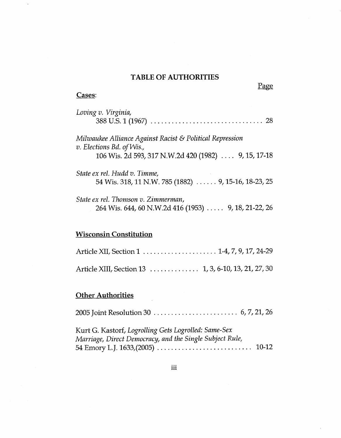#### **TABLE OF AUTHORITIES**

Page

#### **Cases:**

| Loving v. Virginia,                                                                                                                           |
|-----------------------------------------------------------------------------------------------------------------------------------------------|
| Milwaukee Alliance Against Racist & Political Repression<br>v. Elections Bd. of Wis.,<br>106 Wis. 2d 593, 317 N.W.2d 420 (1982)  9, 15, 17-18 |
| State ex rel. Hudd v. Timme,<br>54 Wis. 318, 11 N.W. 785 (1882)  9, 15-16, 18-23, 25                                                          |
| State ex rel. Thomson v. Zimmerman,<br>264 Wis. 644, 60 N.W.2d 416 (1953)  9, 18, 21-22, 26                                                   |

# **Wisconsin Constitution**

| Article XII, Section 1  1-4, 7, 9, 17, 24-29        |  |  |
|-----------------------------------------------------|--|--|
| Article XIII, Section 13 1, 3, 6-10, 13, 21, 27, 30 |  |  |

## **Other Authorities**

2005 Joint Resolution 30 6, 7,21,26

Kurt G. Kastorf, *Logrolling Gets Logrolled: Same-Sex Marriage, Direct Democracy, and the Single Subject Rule,* 54 Emory L.J. 1633,(2005)......................................... 10-12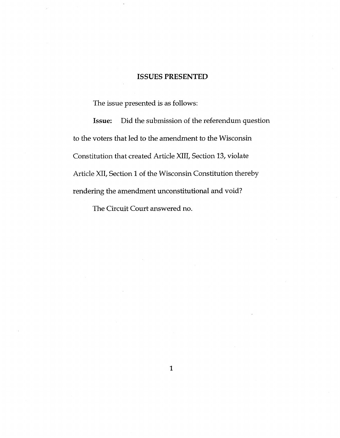#### **ISSUES PRESENTED**

The issue presented is as follows:

Issue: Did the submission of the referendum question to the voters that led to the amendment to the Wisconsin Constitution that created Article XIII, Section 13, violate Article XII, Section 1 of the Wisconsin Constitution thereby rendering the amendment unconstitutional and void?

The Circuit Court answered no.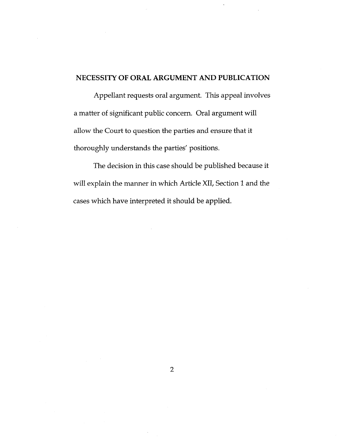## **NECESSITY OF ORAL ARGUMENT AND PUBLICATION**

Appellant requests oral argument. This appeal involves a matter of significant public concern. Oral argument will allow the Court to question the parties and ensure that it thoroughly understands the parties' positions.

The decision in this case should be published because it will explain the manner in which Article XII, Section *<sup>1</sup>* and the cases which have interpreted it should be applied.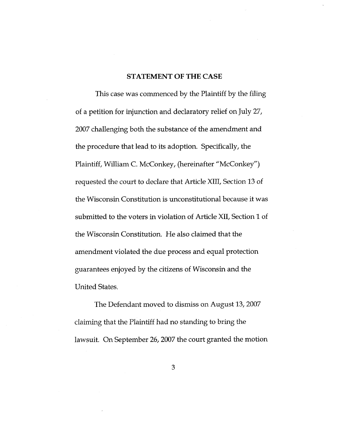#### **STATEMENT OF THE CASE**

This case was commenced by the Plaintiff by the filing of a petition for injunction and declaratory relief on July 27, 2007 challenging both the substance of the amendment and the procedure that lead to its adoption. Specifically, the Plaintiff, William C. McConkey, (hereinafter "McConkey") requested the court to declare that Article XIII, Section 13 of the Wisconsin Constitution is unconstitutional because it was submitted to the voters in violation of Article XII, Section <sup>1</sup> of the Wisconsin Constitution. He also claimed that the amendment violated the due process and equal protection guarantees enjoyed by the citizens of Wisconsin and the United States.

The Defendant moved to dismiss on August 13, 2007 claiming that the Plaintiff had no standing to bring the lawsuit. On September 26,2007 the court granted the motion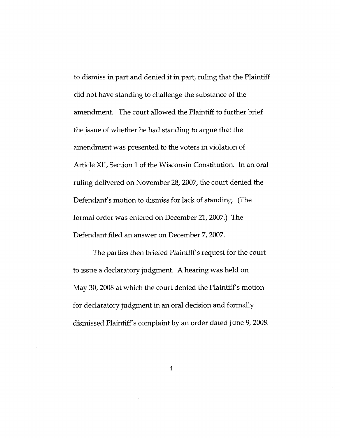to dismiss in part and denied it in part, ruling that the Plaintiff did not have standing to challenge the substance of the amendment. The court allowed the Plaintiff to further brief the issue of whether he had standing to argue that the amendment was presented to the voters in violation of Article XII, Section 1 of the Wisconsin Constitution. In an oral ruling delivered on November 28,2007, the court denied the Defendant's motion to dismiss for lack of standing. (The formal order was entered on December 21, 2007.) The Defendant filed an answer on December 7, 2007.

The parties then briefed Plaintiff's request for the court to issue a declaratory judgment. A hearing was held on May 30, 2008 at which the court denied the Plaintiff's motion for declaratory judgment in an oral decision and formally dismissed Plaintiff's complaint by an order dated June 9, 2008.

4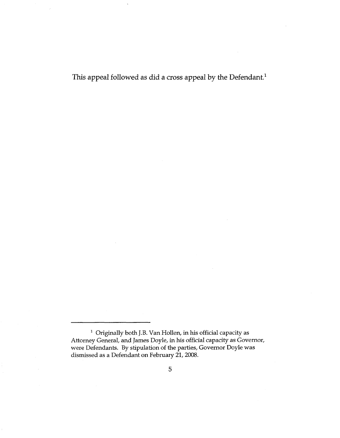This appeal followed as did a cross appeal by the Defendant.<sup>1</sup>

<sup>1</sup> Originally both J.B. Van Hollen, in his official capacity as Attorney General, and James Doyle, in his official capacity as Governor, were Defendants. By stipulation of the parties. Governor Doyle was dismissed as a Defendant on February 21, 2008.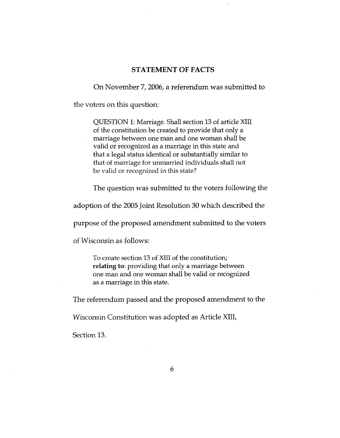#### **STATEMENT OF FACTS**

On November 7,2006, a referendum was submitted to

the voters on this question:

QUESTION 1: Marriage. Shall section 13 of article XIII of the constitution be created to provide that only a marriage between one man and one woman shall be valid or recognized as a marriage in this state and that a legal status identical or substantially similar to that of marriage for unmarried individuals shall not be valid or recognized in this state?

The question was submitted to the voters following the

adoption of the 2005 Joint Resolution 30 which described the

purpose of the proposed amendment submitted to the voters

of Wisconsin as follows:

To create section 13 of XIII of the constitution; **relating** to: providing that only a marriage between one man and one woman shall be valid or recognized as a marriage in this state.

The referendum passed and the proposed amendment to the

Wisconsin Constitution was adopted as Article XIII,

Section 13.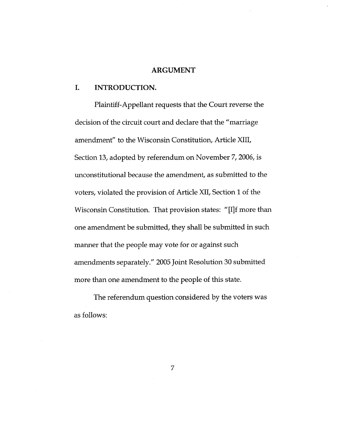#### **ARGUMENT**

#### **I. INTRODUCTION.**

Plaintiff-Appellant requests that the Court reverse the decision of the circuit court and declare that the "marriage amendment" to the Wisconsin Constitution, Article XIII, Section 13, adopted by referendum on November 7, 2006, is unconstitutional because the amendment, as submitted to the voters, violated the provision of Article XII, Section 1 of the Wisconsin Constitution. That provision states: "[I]f more than one amendment be submitted, they shall be submitted in such manner that the people may vote for or against such amendments separately." 2005 Joint Resolution 30 submitted more than one amendment to the people of this state.

The referendum question considered by the voters was as follows:

7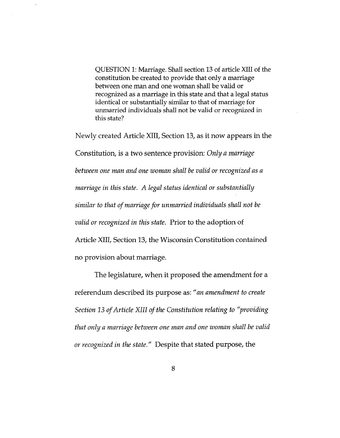QUESTION 1: Marriage. Shall section 13 of article XIII of the constitution be created to provide that only a marriage between one man and one woman shall be valid or recognized as a marriage in this state and that a legal status identical or substantially similar to that of marriage for unmarried individuals shall not be valid or recognized in this state?

Newly created Article XIII, Section 13, as it now appears in the Constitution, is a two sentence provision: *Only a marriage between one man and one woman shall be valid or recognized as a marriage in this state. A legal status identical or substantially similar to that ofmarriagefor unmarried individuals shall not be valid or recognized in this state.* Prior to the adoption of Article XIII, Section 13, the Wisconsin Constitution contained no provision about marriage.

The legislature, when it proposed the amendment for <sup>a</sup> referendum described its purpose as: *"an amendment to create Section <sup>13</sup> ofArticle XIII ofthe Constitution relating to "providing that only a marriage between one man and one woman shall be valid or recognized in the state."* Despite that stated purpose, the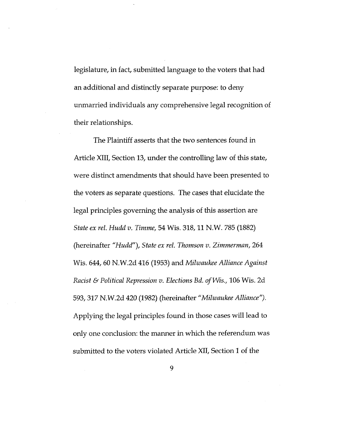legislature, in fact, submitted language to the voters that had an additional and distinctly separate purpose: to deny unmarried individuals any comprehensive legal recognition of their relationships.

The Plaintiff asserts that the two sentences found in Article XIII, Section 13, under the controlling law of this state. were distinct amendments that should have been presented to the voters as separate questions. The cases that elucidate the legal principles governing the analysis of this assertion are *State ex rel. Hudd v. Timme,* 54 Wis. 318,11 N.W. 785 (1882) (hereinafter *"Hudd"), State ex rel. Thomson v. Zimmerman,* 264 Wis. 644, 60 N.W.2d 416 (1953) and *Milwaukee Alliance Against Racist & Political Repression v. Elections Bd. ofWis.,* 106 Wis. 2d 593,317 N.W.2d 420 (1982) (hereinafter *"Milwaukee Alliance").* Applying the legal principles found in those cases will lead to only one conclusion: the manner in which the referendum was submitted to the voters violated Article XII, Section <sup>1</sup> of the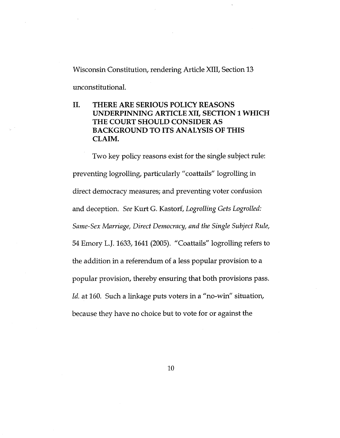Wisconsin Constitution, rendering Article XIII, Section 13

unconstitutional.

# **II. THERE ARE SERIOUS POLICY REASONS UNDERPINNING ARTICLE XII, SECTION 1 WHICH THE COURT SHOULD CONSIDER AS BACKGROUND TO ITS ANALYSIS OF THIS CLAIM.**

Two key policy reasons exist for the single subject rule: preventing logrolling, particularly "coattails" logrolling in direct democracy measures; and preventing voter confusion and deception. *See* Kurt G. Kastorf, *Logrolling Gets Logrolled: Same-Sex Marriage, Direct Democracy, and the Single Subject Rule,* 54 Emory L.J. 1633,1641 (2005). "Coattails" logrolling refers to the addition in a referendum of a less popular provision to a popular provision, thereby ensuring that both provisions pass. *Id.* at 160. Such a linkage puts voters in a "no-win" situation, because they have no choice but to vote for or against the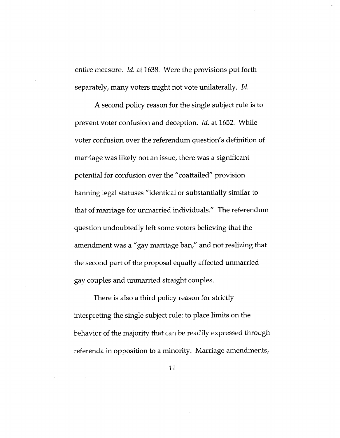entire measure. *Id.* at 1638. Were the provisions put forth separately, many voters might not vote unilaterally. *Id.*

A second policy reason for the single subject rule is to prevent voter confusion and deception. *Id.* at 1652. While voter confusion over the referendum question's definition of marriage was likely not an issue, there was a significant potential for confusion over the "coattailed" provision banning legal statuses "identical or substantially similar to that of marriage for unmarried individuals." The referendum question undoubtedly left some voters believing that the amendment was a "gay marriage ban," and not realizing that the second part of the proposal equally affected unmarried gay couples and unmarried straight couples.

There is also a third policy reason for strictly interpreting the single subject rule: to place limits on the behavior of the majority that can be readily expressed through referenda in opposition to a minority. Marriage amendments.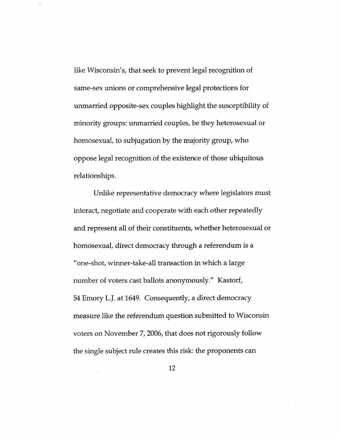like Wisconsin's, that seek to prevent legal recognition of same-sex unions or comprehensive legal protections for unmarried opposite-sex couples highlight the susceptibility of minority groups: unmarried couples, be they heterosexual or homosexual, to subjugation by the majority group, who oppose legal recognition of the existence of those ubiquitous relationships.

Unlike representative democracy where legislators must interact, negotiate and cooperate with each other repeatedly and represent all of their constituents, whether heterosexual or homosexual, direct democracy through a referendum is a "one-shot, winner-take-all transaction in which a large number of voters cast ballots anonymously." Kastorf, 54 Emory L.J. at 1649. Consequently, a direct democracy measure like the referendum question submitted to Wisconsin voters on November 7, 2006, that does not rigorously follow the single subject rule creates this risk: the proponents can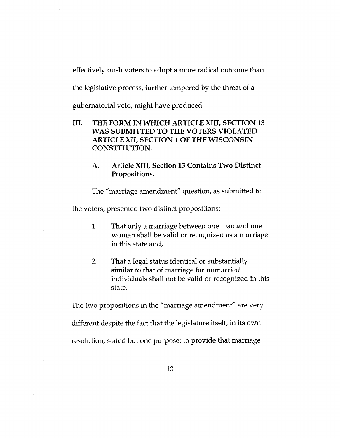effectively push voters to adopt a more radical outcome than

the legislative process, further tempered by the threat of a

gubernatorial veto, might have produced.

- **III. THE FORM IN WHICH ARTICLE XIII, SECTION <sup>13</sup> WAS SUBMITTED TO THE VOTERS VIOLATED ARTICLE XII, SECTION 1 OF THE WISCONSIN CONSTITUTION.**
	- **A. Article XIII, Section 13 Contains Two Distinct Propositions.**

The "marriage amendment" question, as submitted to

the voters, presented two distinct propositions:

- That only a marriage between one man and one woman shall be valid or recognized as a marriage in this state and. 1.
- That a legal status identical or substantially similar to that of marriage for unmarried individuals shall not be valid or recognized in this state. 2.

The two propositions in the "marriage amendment" are very different despite the fact that the legislature itself, in its own resolution, stated but one purpose: to provide that marriage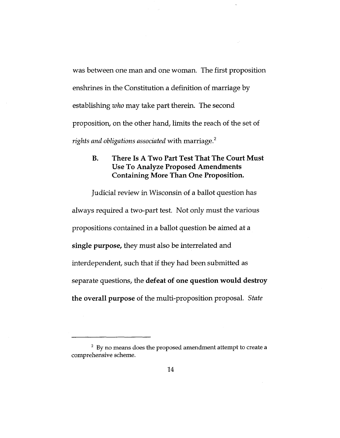was between one man and one woman. The first proposition enshrines in the Constitution a definition of marriage by establishing *who* may take part therein. The second proposition, on the other hand, limits the reach of the set of *rights and obligations associated* with marriage.<sup>2</sup>

## **B. There Is A Two Part Test That The Court Must Use To Analyze Proposed Amendments Containing More Than One Proposition.**

Judicial review in Wisconsin of a ballot question has always required a two-part test. Not only must the various propositions contained in a ballot question be aimed at a **single purpose,** they must also be interrelated and interdependent, such that if they had been submitted as separate questions, the **defeat of one question would destroy the overall purpose** of the multi-proposition proposal. *State*

*<sup>2</sup>* By no means does the proposed amendment attempt to create a comprehensive scheme.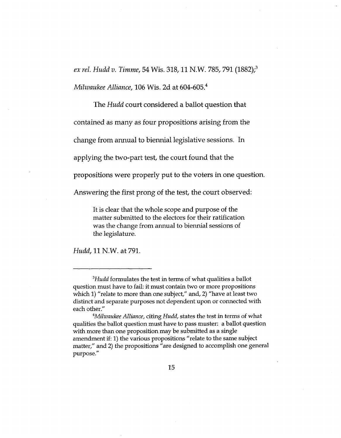**.3** *ex rel. Hudd v. Timme,* 54 Wis. 318,11 N.W. 785, 791 (1882);

*Milwaukee Alliance,* 106 Wis. 2d at 604-605.4

The *Hudd* court considered a ballot question that

contained as many as four propositions arising from the

change from annual to biennial legislative sessions. In

applying the two-part test, the court found that the

propositions were properly put to the voters in one question.

Answering the first prong of the test, the court observed:

It is clear that the whole scope and purpose of the matter submitted to the electors for their ratification was the change from annual to biennial sessions of the legislature.

*Hudd*, 11 N.W. at 791.

*<sup>3</sup>Hudd* formulates the test in terms of what qualities a ballot question must have to fail: it must contain two or more propositions which 1) "relate to more than one subject," and, 2) "have at least two distinct and separate purposes not dependent upon or connected with each other."

*<sup>4</sup>Milwaukee Alliance,* citing *Hudd,* states the test in terms of what qualities the ballot question must have to pass muster: a ballot question with more than one proposition may be submitted as a single amendment if: 1) the various propositions "relate to the same subject matter/' and 2) the propositions "are designed to accomplish one general purpose."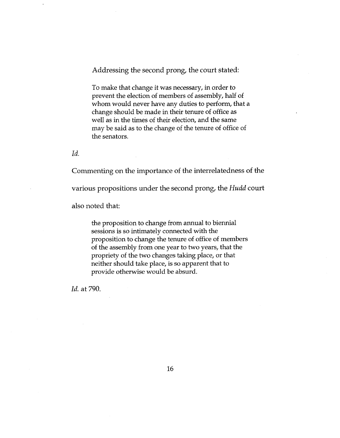Addressing the second prong, the court stated:

To make that change it was necessary, in order to prevent the election of members of assembly, half of whom would never have any duties to perform, that a change should be made in their tenure of office as well as in the times of their election, and the same may be said as to the change of the tenure of office of the senators.

*Id.*

Commenting on the importance of the interrelatedness of the

various propositions under the second prong, the *Hudd* court

also noted that:

the proposition to change from annual to biennial sessions is so intimately connected with the proposition to change the tenure of office of members of the assembly from one year to two years, that the propriety of the two changes taking place, or that neither should take place, is so apparent that to provide otherwise would be absurd.

*Id.* at 790.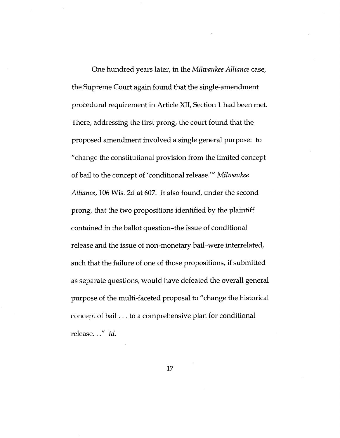One hundred years later, in the *Milwaukee Alliance* case. the Supreme Court again found that the single-amendment procedural requirement in Article XII, Section <sup>1</sup> had been met. There, addressing the first prong, the court found that the proposed amendment involved a single general purpose: to "change the constitutional provision from the limited concept of bail to the concept of 'conditional release/" *Milwaukee Alliance,* 106 Wis. 2d at 607. It also found, under the second prong, that the two propositions identified by the plaintiff contained in the ballot question-the issue of conditional release and the issue of non-monetary bail-were interrelated, such that the failure of one of those propositions, if submitted as separate questions, would have defeated the overall general purpose of the multi-faceted proposal to "change the historical concept of bail... to <sup>a</sup> comprehensive plan for conditional release..." *Id.*

17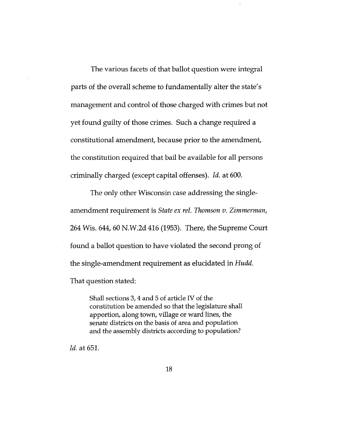The various facets of that ballot question were integral parts of the overall scheme to fundamentally alter the state's management and control of those charged with crimes but not yet found guilty of those crimes. Such a change required a constitutional amendment, because prior to the amendment. the constitution required that bail be available for all persons criminally charged (except capital offenses). *Id.* at 600.

The only other Wisconsin case addressing the singleamendment requirement is *State ex rel. Thomson v. Zimmerman,* 264 Wis. 644, 60 N.W.2d 416 (1953). There, the Supreme Court found a ballot question to have violated the second prong of the single-amendment requirement as elucidated in *Hudd.* That question stated:

Shall sections 3,4 and 5 of article IV of the constitution be amended so that the legislature shall apportion, along town, village or ward lines, the senate districts on the basis of area and population and the assembly districts according to population?

*Id.* at 651.

18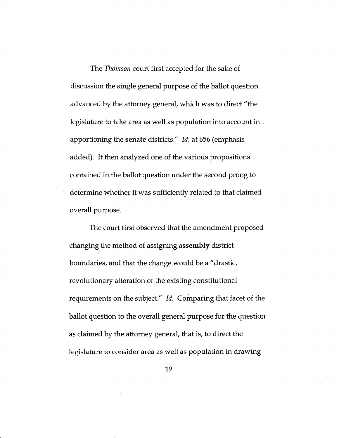The *Thomson* court first accepted for the sake of discussion the single general purpose of the ballot question advanced by the attorney general, which was to direct "the legislature to take area as well as population into account in apportioning the senate districts." *Id.* at 656 (emphasis added). It then analyzed one of the various propositions contained in the ballot question under the second prong to determine whether it was sufficiently related to that claimed overall purpose.

The court first observed that the amendment proposed changing the method of assigning **assembly** district boundaries, and that the change would be a "drastic. revolutionary alteration of the existing constitutional requirements on the subject." *Id.* Comparing that facet of the ballot question to the overall general purpose for the question as claimed by the attorney general, that is, to direct the legislature to consider area as well as population in drawing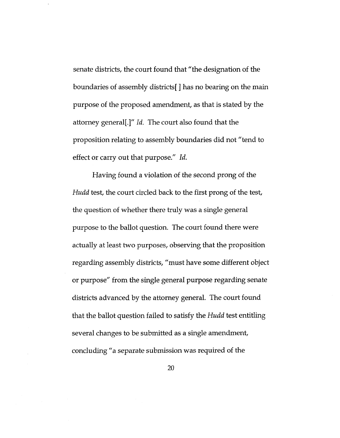senate districts, the court found that "the designation of the boundaries of assembly districts[ ] has no bearing on the main purpose of the proposed amendment, as that is stated by the attorney general[.]" *Id.* The court also found that the proposition relating to assembly boundaries did not "tend to effect or carry out that purpose." *Id.*

Having found a violation of the second prong of the *Hudd* test, the court circled back to the first prong of the test, the question of whether there truly was a single general purpose to the ballot question. The court found there were actually at least two purposes, observing that the proposition regarding assembly districts, "must have some different object or purpose" from the single general purpose regarding senate districts advanced by the attorney general. The court found that the ballot question failed to satisfy the *Hudd* test entitling several changes to be submitted as a single amendment. concluding "a separate submission was required of the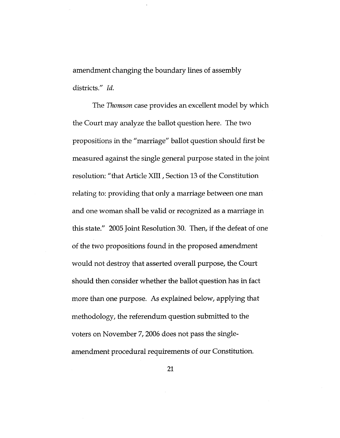amendment changing the boundary lines of assembly districts." *Id.*

The *Thomson* case provides an excellent model by which the Court may analyze the ballot question here. The two propositions in the "marriage" ballot question should first be measured against the single general purpose stated in the joint resolution: "that Article XIII, Section <sup>13</sup> of the Constitution relating to: providing that only a marriage between one man and one woman shall be valid or recognized as a marriage in this state." 2005 Joint Resolution 30. Then, if the defeat of one of the two propositions found in the proposed amendment would not destroy that asserted overall purpose, the Court should then consider whether the ballot question has in fact more than one purpose. As explained below, applying that methodology, the referendum question submitted to the voters on November 7,2006 does not pass the singleamendment procedural requirements of our Constitution.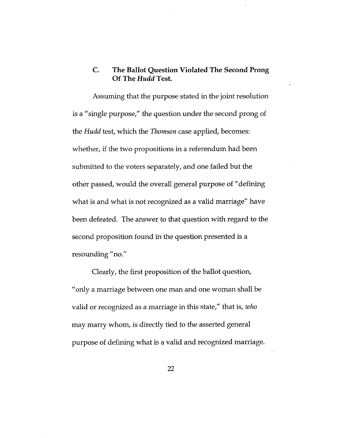#### **The Ballot Question Violated The Second Prong Of The** *Hudd* **Test. C.**

Assuming that the purpose stated in the joint resolution is a "single purpose/' the question under the second prong of the *Hudd* test, which the *Thomson* case applied, becomes: whether, if the two propositions in <sup>a</sup> referendum had been submitted to the voters separately, and one failed but the other passed, would the overall general purpose of "defining what is and what is not recognized as a valid marriage" have been defeated. The answer to that question with regard to the second proposition found in the question presented is a resounding "no."

Clearly, the first proposition of the ballot question. "only a marriage between one man and one woman shall be valid or recognized as a marriage in this state," that is, *who* may marry whom, is directly tied to the asserted general purpose of defining what is a valid and recognized marriage.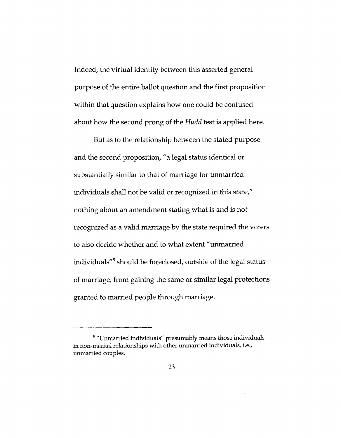Indeed, the virtual identity between this asserted general purpose of the entire ballot question and the first proposition within that question explains how one could be confused about how the second prong of the *Hudd* test is applied here.

But as to the relationship between the stated purpose and the second proposition, "a legal status identical or substantially similar to that of marriage for unmarried individuals shall not be valid or recognized in this state," nothing about an amendment stating what is and is not recognized as a valid marriage by the state required the voters to also decide whether and to what extent "unmarried individuals"<sup>5</sup> should be foreclosed, outside of the legal status of marriage, from gaining the same or similar legal protections granted to married people through marriage.

<sup>&</sup>lt;sup>5</sup> "Unmarried individuals" presumably means those individuals in non-marital relationships with other unmarried individuals, i.e., unmarried couples.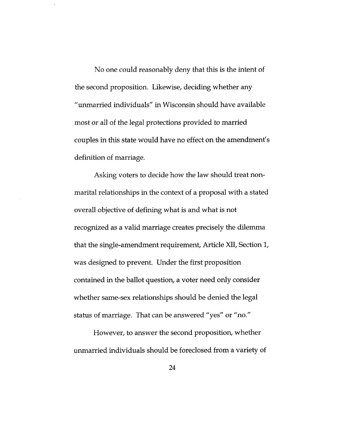No one could reasonably deny that this is the intent of the second proposition. Likewise, deciding whether any "unmarried individuals" in Wisconsin should have available most or all of the legal protections provided to married couples in this state would have no effect on the amendment's definition of marriage.

Asking voters to decide how the law should treat nonmarital relationships in the context of a proposal with a stated overall objective of defining what is and what is not recognized as a valid marriage creates precisely the dilemma that the single-amendment requirement. Article XII, Section 1, was designed to prevent. Under the first proposition contained in the ballot question, a voter need only consider whether same-sex relationships should be denied the legal status of marriage. That can be answered "yes" or "no."

However, to answer the second proposition, whether unmarried individuals should be foreclosed from a variety of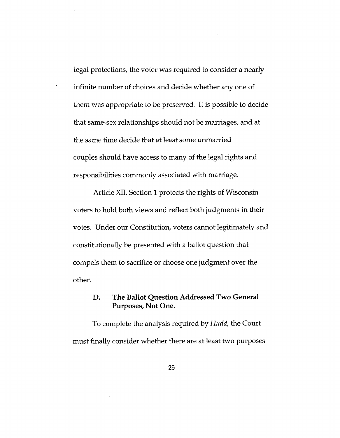legal protections, the voter was required to consider a nearly infinite number of choices and decide whether any one of them was appropriate to be preserved. It is possible to decide that same-sex relationships should not be marriages, and at the same time decide that at least some unmarried couples should have access to many of the legal rights and responsibilities commonly associated with marriage.

Article XII, Section 1 protects the rights of Wisconsin voters to hold both views and reflect both judgments in their votes. Under our Constitution, voters cannot legitimately and constitutionally be presented with a ballot question that compels them to sacrifice or choose one judgment over the other.

#### **The Ballot Question Addressed Two General Purposes, Not One. D.**

To complete the analysis required by *Hudd,* the Court must finally consider whether there are at least two purposes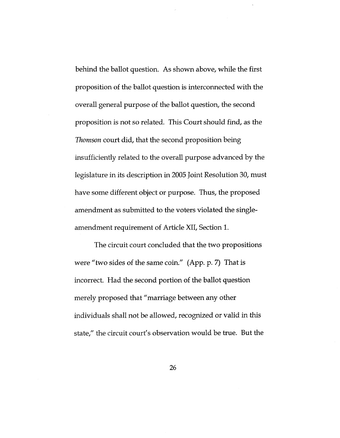behind the ballot question. As shown above, while the first proposition of the ballot question is interconnected with the overall general purpose of the ballot question, the second proposition is not so related. This Court should find, as the *Thomson* court did, that the second proposition being insufficiently related to the overall purpose advanced by the legislature in its description in 2005 Joint Resolution 30, must have some different object or purpose. Thus, the proposed amendment as submitted to the voters violated the singleamendment requirement of Article XII, Section 1.

The circuit court concluded that the two propositions were "two sides of the same coin." (App. p. 7) That is incorrect. Had the second portion of the ballot question merely proposed that "marriage between any other individuals shall not be allowed, recognized or valid in this state," the circuit court's observation would be true. But the

26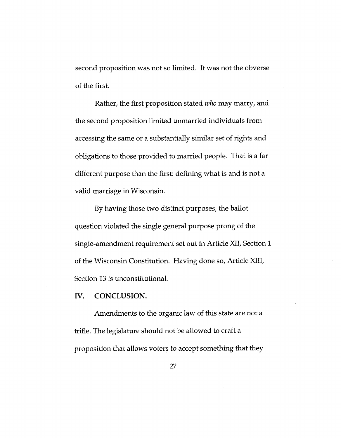second proposition was not so limited. It was not the obverse of the first.

Rather, the first proposition stated *who* may marry, and the second proposition limited unmarried individuals from accessing the same or a substantially similar set of rights and obligations to those provided to married people. That is a far different purpose than the first: defining what is and is not a valid marriage in Wisconsin.

By having those two distinct purposes, the ballot question violated the single general purpose prong of the single-amendment requirement set out in Article XII, Section <sup>1</sup> of the Wisconsin Constitution. Having done so. Article XIII, Section 13 is unconstitutional.

IV. CONCLUSION.

Amendments to the organic law of this state are not a trifle. The legislature should not be allowed to craft a proposition that allows voters to accept something that they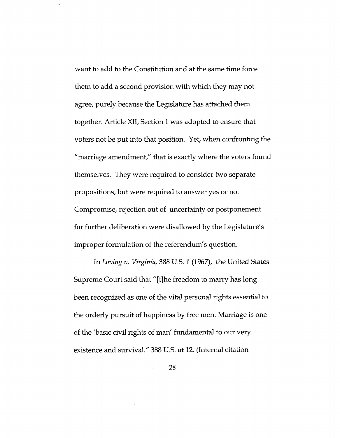want to add to the Constitution and at the same time force them to add a second provision with which they may not agree, purely because the Legislature has attached them together. Article XII, Section 1 was adopted to ensure that voters not be put into that position. Yet, when confronting the "marriage amendment," that is exactly where the voters found themselves. They were required to consider two separate propositions, but were required to answer yes or no. Compromise, rejection out of uncertainty or postponement for further deliberation were disallowed by the Legislature's

In *Loving v. Virginia,* 388 U.S. <sup>1</sup> (1967), the United States Supreme Court said that "[t]he freedom to marry has long been recognized as one of the vital personal rights essential to the orderly pursuit of happiness by free men. Marriage is one of the 'basic civil rights of man' fundamental to our very existence and survival." 388 U.S. at 12. (Internal citation

improper formulation of the referendum's question.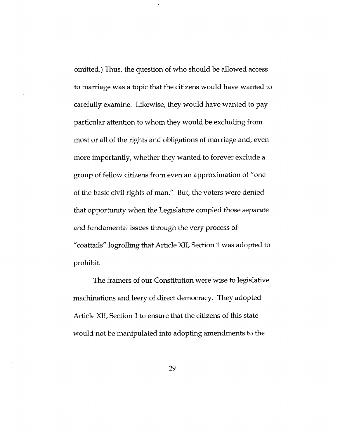omitted.) Thus, the question of who should be allowed access to marriage was a topic that the citizens would have wanted to carefully examine. Likewise, they would have wanted to pay particular attention to whom they would be excluding from most or all of the rights and obligations of marriage and, even more importantly, whether they wanted to forever exclude a group of fellow citizens from even an approximation of "one of the basic civil rights of man." But, the voters were denied that opportunity when the Legislature coupled those separate and fundamental issues through the very process of "coattails" logrolling that Article XII, Section <sup>1</sup> was adopted to prohibit.

The framers of our Constitution were wise to legislative machinations and leery of direct democracy. They adopted Article XII, Section 1 to ensure that the citizens of this state would not be manipulated into adopting amendments to the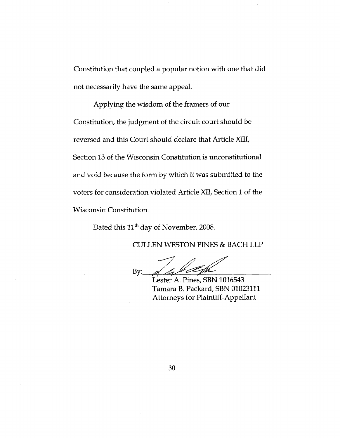Constitution that coupled a popular notion with one that did not necessarily have the same appeal.

Applying the wisdom of the framers of our Constitution, the judgment of the circuit court should be reversed and this Court should declare that Article XIII, Section 13 of the Wisconsin Constitution is unconstitutional and void because the form by which it was submitted to the voters for consideration violated Article XII, Section 1 of the Wisconsin Constitution.

Dated this 11<sup>th</sup> day of November, 2008.

CULLEN WESTON PINES & BACH LLP

 $By$ :

Lester A. Pines, SBN 1016543 Tamara B. Packard, SBN 01023111 Attorneys for Plaintiff-Appellant